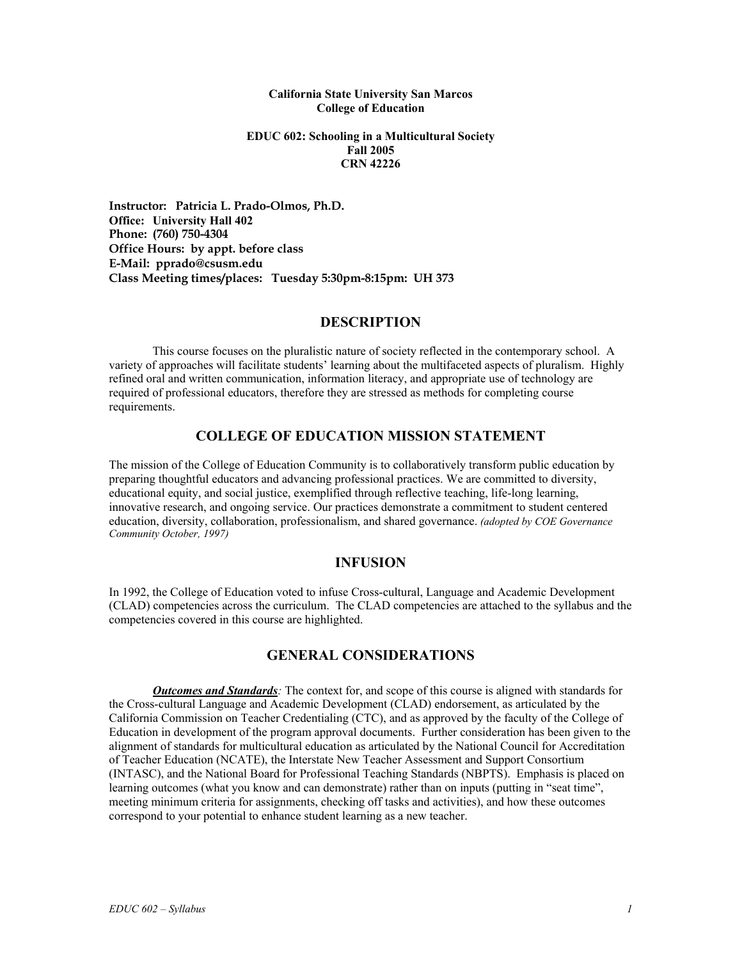#### **California State University San Marcos College of Education**

### **EDUC 602: Schooling in a Multicultural Society Fall 2005 CRN 42226**

**Instructor: Patricia L. Prado-Olmos, Ph.D. Office: University Hall 402 Phone: (760) 750-4304 Office Hours: by appt. before class E-Mail: pprado@csusm.edu Class Meeting times/places: Tuesday 5:30pm-8:15pm: UH 373** 

### **DESCRIPTION**

 This course focuses on the pluralistic nature of society reflected in the contemporary school. A variety of approaches will facilitate students' learning about the multifaceted aspects of pluralism. Highly refined oral and written communication, information literacy, and appropriate use of technology are required of professional educators, therefore they are stressed as methods for completing course requirements.

# **COLLEGE OF EDUCATION MISSION STATEMENT**

The mission of the College of Education Community is to collaboratively transform public education by preparing thoughtful educators and advancing professional practices. We are committed to diversity, educational equity, and social justice, exemplified through reflective teaching, life-long learning, innovative research, and ongoing service. Our practices demonstrate a commitment to student centered education, diversity, collaboration, professionalism, and shared governance. *(adopted by COE Governance Community October, 1997)* 

### **INFUSION**

In 1992, the College of Education voted to infuse Cross-cultural, Language and Academic Development (CLAD) competencies across the curriculum. The CLAD competencies are attached to the syllabus and the competencies covered in this course are highlighted.

# **GENERAL CONSIDERATIONS**

*Outcomes and Standards:* The context for, and scope of this course is aligned with standards for the Cross-cultural Language and Academic Development (CLAD) endorsement, as articulated by the California Commission on Teacher Credentialing (CTC), and as approved by the faculty of the College of Education in development of the program approval documents. Further consideration has been given to the alignment of standards for multicultural education as articulated by the National Council for Accreditation of Teacher Education (NCATE), the Interstate New Teacher Assessment and Support Consortium (INTASC), and the National Board for Professional Teaching Standards (NBPTS). Emphasis is placed on learning outcomes (what you know and can demonstrate) rather than on inputs (putting in "seat time", meeting minimum criteria for assignments, checking off tasks and activities), and how these outcomes correspond to your potential to enhance student learning as a new teacher.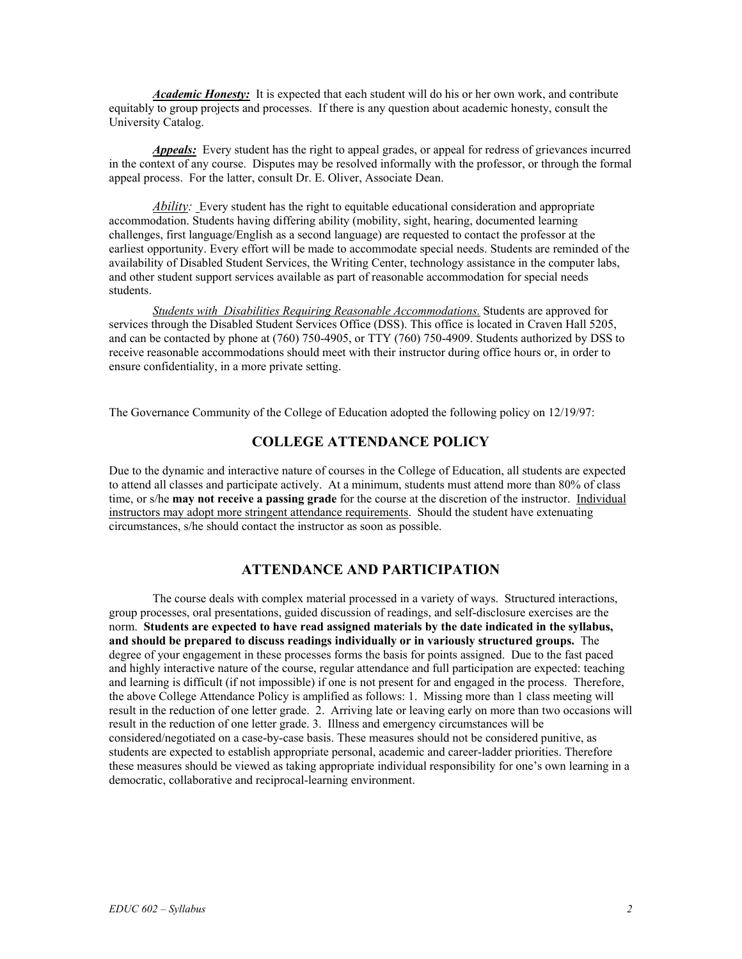*Academic Honesty:* It is expected that each student will do his or her own work, and contribute equitably to group projects and processes. If there is any question about academic honesty, consult the University Catalog.

*Appeals:* Every student has the right to appeal grades, or appeal for redress of grievances incurred in the context of any course. Disputes may be resolved informally with the professor, or through the formal appeal process. For the latter, consult Dr. E. Oliver, Associate Dean.

*Ability:* Every student has the right to equitable educational consideration and appropriate accommodation. Students having differing ability (mobility, sight, hearing, documented learning challenges, first language/English as a second language) are requested to contact the professor at the earliest opportunity. Every effort will be made to accommodate special needs. Students are reminded of the availability of Disabled Student Services, the Writing Center, technology assistance in the computer labs, and other student support services available as part of reasonable accommodation for special needs students.

*Students with Disabilities Requiring Reasonable Accommodations.* Students are approved for services through the Disabled Student Services Office (DSS). This office is located in Craven Hall 5205, and can be contacted by phone at (760) 750-4905, or TTY (760) 750-4909. Students authorized by DSS to receive reasonable accommodations should meet with their instructor during office hours or, in order to ensure confidentiality, in a more private setting.

The Governance Community of the College of Education adopted the following policy on 12/19/97:

# **COLLEGE ATTENDANCE POLICY**

Due to the dynamic and interactive nature of courses in the College of Education, all students are expected to attend all classes and participate actively. At a minimum, students must attend more than 80% of class time, or s/he **may not receive a passing grade** for the course at the discretion of the instructor. Individual instructors may adopt more stringent attendance requirements. Should the student have extenuating circumstances, s/he should contact the instructor as soon as possible.

### **ATTENDANCE AND PARTICIPATION**

The course deals with complex material processed in a variety of ways. Structured interactions, group processes, oral presentations, guided discussion of readings, and self-disclosure exercises are the norm. **Students are expected to have read assigned materials by the date indicated in the syllabus, and should be prepared to discuss readings individually or in variously structured groups.** The degree of your engagement in these processes forms the basis for points assigned. Due to the fast paced and highly interactive nature of the course, regular attendance and full participation are expected: teaching and learning is difficult (if not impossible) if one is not present for and engaged in the process. Therefore, the above College Attendance Policy is amplified as follows: 1. Missing more than 1 class meeting will result in the reduction of one letter grade. 2. Arriving late or leaving early on more than two occasions will result in the reduction of one letter grade. 3. Illness and emergency circumstances will be considered/negotiated on a case-by-case basis. These measures should not be considered punitive, as students are expected to establish appropriate personal, academic and career-ladder priorities. Therefore these measures should be viewed as taking appropriate individual responsibility for one's own learning in a democratic, collaborative and reciprocal-learning environment.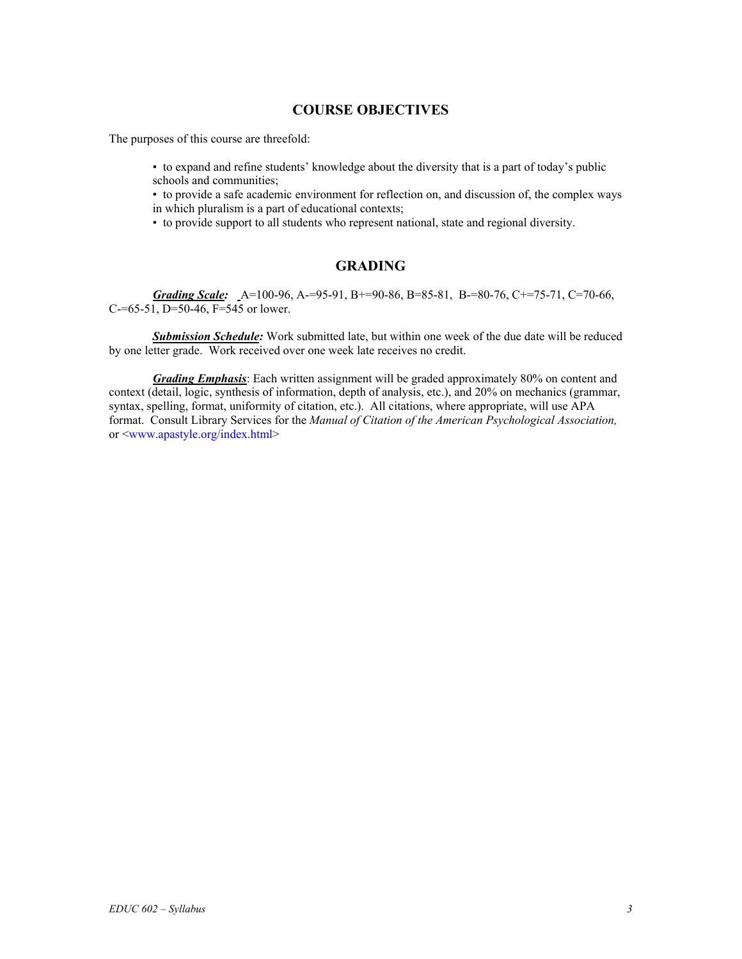# **COURSE OBJECTIVES**

The purposes of this course are threefold:

• to expand and refine students' knowledge about the diversity that is a part of today's public schools and communities;

• to provide a safe academic environment for reflection on, and discussion of, the complex ways in which pluralism is a part of educational contexts;

• to provide support to all students who represent national, state and regional diversity.

# **GRADING**

*Grading Scale:* A=100-96, A-=95-91, B+=90-86, B=85-81, B-=80-76, C+=75-71, C=70-66,  $C = 65-51$ ,  $D = 50-46$ ,  $F = 545$  or lower.

 *Submission Schedule:* Work submitted late, but within one week of the due date will be reduced by one letter grade. Work received over one week late receives no credit.

*Grading Emphasis*: Each written assignment will be graded approximately 80% on content and context (detail, logic, synthesis of information, depth of analysis, etc.), and 20% on mechanics (grammar, syntax, spelling, format, uniformity of citation, etc.). All citations, where appropriate, will use APA format. Consult Library Services for the *Manual of Citation of the American Psychological Association,* or <www.apastyle.org/index.html>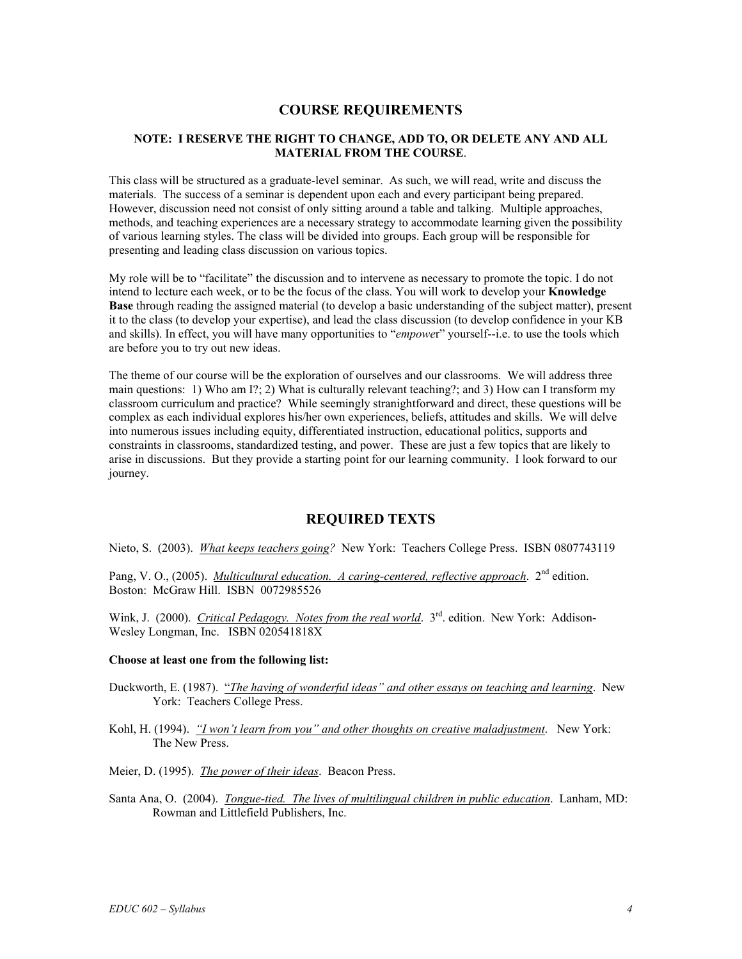# **COURSE REQUIREMENTS**

### **NOTE: I RESERVE THE RIGHT TO CHANGE, ADD TO, OR DELETE ANY AND ALL MATERIAL FROM THE COURSE**.

This class will be structured as a graduate-level seminar. As such, we will read, write and discuss the materials. The success of a seminar is dependent upon each and every participant being prepared. However, discussion need not consist of only sitting around a table and talking. Multiple approaches, methods, and teaching experiences are a necessary strategy to accommodate learning given the possibility of various learning styles. The class will be divided into groups. Each group will be responsible for presenting and leading class discussion on various topics.

My role will be to "facilitate" the discussion and to intervene as necessary to promote the topic. I do not intend to lecture each week, or to be the focus of the class. You will work to develop your **Knowledge Base** through reading the assigned material (to develop a basic understanding of the subject matter), present it to the class (to develop your expertise), and lead the class discussion (to develop confidence in your KB and skills). In effect, you will have many opportunities to "*empowe*r" yourself--i.e. to use the tools which are before you to try out new ideas.

The theme of our course will be the exploration of ourselves and our classrooms. We will address three main questions: 1) Who am I?; 2) What is culturally relevant teaching?; and 3) How can I transform my classroom curriculum and practice? While seemingly stranightforward and direct, these questions will be complex as each individual explores his/her own experiences, beliefs, attitudes and skills. We will delve into numerous issues including equity, differentiated instruction, educational politics, supports and constraints in classrooms, standardized testing, and power. These are just a few topics that are likely to arise in discussions. But they provide a starting point for our learning community. I look forward to our journey.

# **REQUIRED TEXTS**

Nieto, S. (2003). *What keeps teachers going?* New York: Teachers College Press. ISBN 0807743119

Pang, V. O., (2005). *Multicultural education. A caring-centered, reflective approach.* 2<sup>nd</sup> edition. Boston: McGraw Hill. ISBN 0072985526

Wink, J. (2000). *Critical Pedagogy. Notes from the real world*. 3<sup>rd</sup>. edition. New York: Addison-Wesley Longman, Inc. ISBN 020541818X

#### **Choose at least one from the following list:**

- Duckworth, E. (1987). "*The having of wonderful ideas" and other essays on teaching and learning*. New York: Teachers College Press.
- Kohl, H. (1994). *"I won't learn from you" and other thoughts on creative maladjustment*. New York: The New Press.

Meier, D. (1995). *The power of their ideas*. Beacon Press.

Santa Ana, O. (2004). *Tongue-tied. The lives of multilingual children in public education*. Lanham, MD: Rowman and Littlefield Publishers, Inc.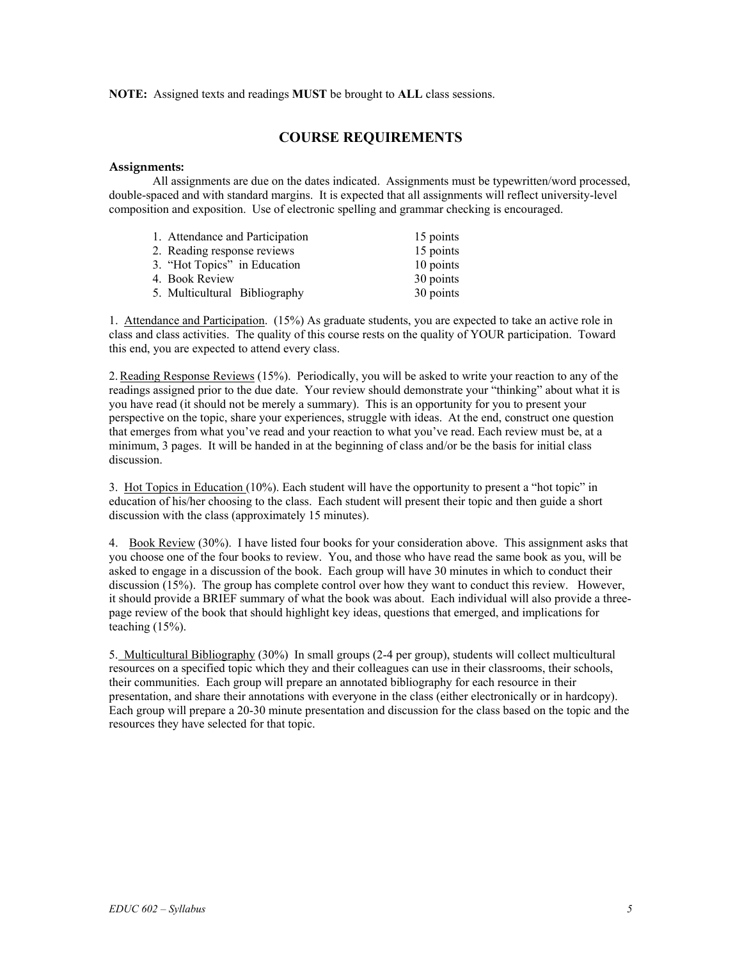#### **NOTE:** Assigned texts and readings **MUST** be brought to **ALL** class sessions.

# **COURSE REQUIREMENTS**

#### **Assignments:**

 All assignments are due on the dates indicated. Assignments must be typewritten/word processed, double-spaced and with standard margins. It is expected that all assignments will reflect university-level composition and exposition. Use of electronic spelling and grammar checking is encouraged.

| 1. Attendance and Participation | 15 points |
|---------------------------------|-----------|
| 2. Reading response reviews     | 15 points |
| 3. "Hot Topics" in Education    | 10 points |
| 4. Book Review                  | 30 points |
| 5. Multicultural Bibliography   | 30 points |

1. Attendance and Participation. (15%) As graduate students, you are expected to take an active role in class and class activities. The quality of this course rests on the quality of YOUR participation. Toward this end, you are expected to attend every class.

2.Reading Response Reviews (15%). Periodically, you will be asked to write your reaction to any of the readings assigned prior to the due date. Your review should demonstrate your "thinking" about what it is you have read (it should not be merely a summary). This is an opportunity for you to present your perspective on the topic, share your experiences, struggle with ideas. At the end, construct one question that emerges from what you've read and your reaction to what you've read. Each review must be, at a minimum, 3 pages. It will be handed in at the beginning of class and/or be the basis for initial class discussion.

3. Hot Topics in Education (10%). Each student will have the opportunity to present a "hot topic" in education of his/her choosing to the class. Each student will present their topic and then guide a short discussion with the class (approximately 15 minutes).

4. Book Review (30%). I have listed four books for your consideration above. This assignment asks that you choose one of the four books to review. You, and those who have read the same book as you, will be asked to engage in a discussion of the book. Each group will have 30 minutes in which to conduct their discussion (15%). The group has complete control over how they want to conduct this review. However, it should provide a BRIEF summary of what the book was about. Each individual will also provide a threepage review of the book that should highlight key ideas, questions that emerged, and implications for teaching (15%).

5. Multicultural Bibliography (30%) In small groups (2-4 per group), students will collect multicultural resources on a specified topic which they and their colleagues can use in their classrooms, their schools, their communities. Each group will prepare an annotated bibliography for each resource in their presentation, and share their annotations with everyone in the class (either electronically or in hardcopy). Each group will prepare a 20-30 minute presentation and discussion for the class based on the topic and the resources they have selected for that topic.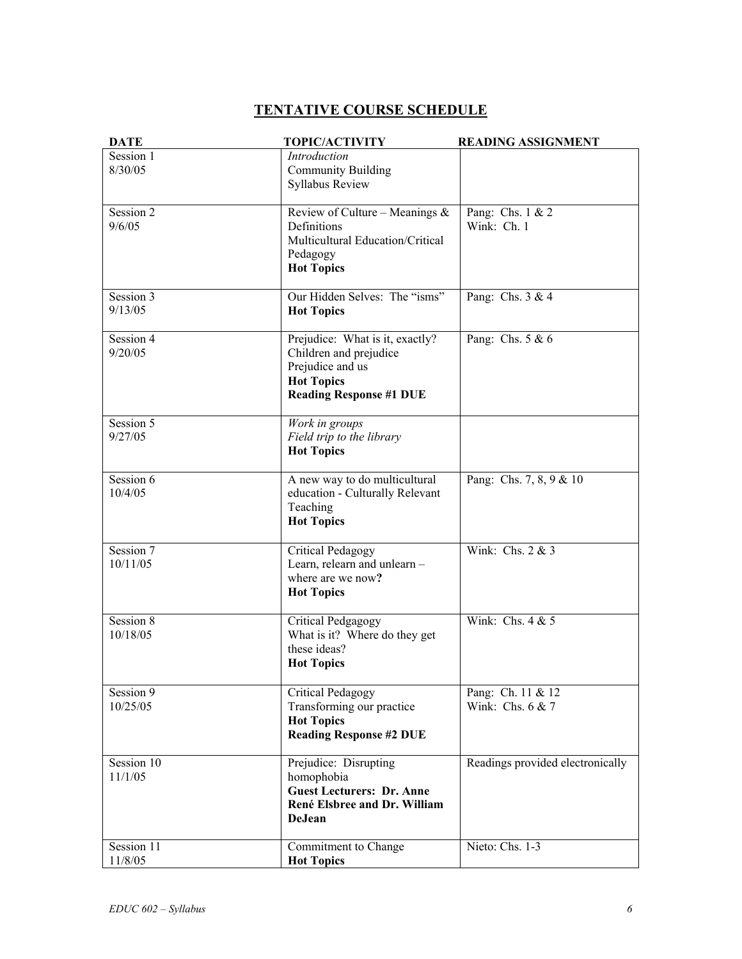# **TENTATIVE COURSE SCHEDULE**

| <b>DATE</b>           | <b>TOPIC/ACTIVITY</b>                                                                                                                | <b>READING ASSIGNMENT</b>             |
|-----------------------|--------------------------------------------------------------------------------------------------------------------------------------|---------------------------------------|
| Session 1<br>8/30/05  | Introduction<br><b>Community Building</b><br>Syllabus Review                                                                         |                                       |
| Session 2<br>9/6/05   | Review of Culture – Meanings $\&$<br>Definitions<br>Multicultural Education/Critical<br>Pedagogy<br><b>Hot Topics</b>                | Pang: Chs. 1 & 2<br>Wink: Ch. 1       |
| Session 3<br>9/13/05  | Our Hidden Selves: The "isms"<br><b>Hot Topics</b>                                                                                   | Pang: Chs. $3 & 4$                    |
| Session 4<br>9/20/05  | Prejudice: What is it, exactly?<br>Children and prejudice<br>Prejudice and us<br><b>Hot Topics</b><br><b>Reading Response #1 DUE</b> | Pang: Chs. 5 & 6                      |
| Session 5<br>9/27/05  | Work in groups<br>Field trip to the library<br><b>Hot Topics</b>                                                                     |                                       |
| Session 6<br>10/4/05  | A new way to do multicultural<br>education - Culturally Relevant<br>Teaching<br><b>Hot Topics</b>                                    | Pang: Chs. 7, 8, 9 & 10               |
| Session 7<br>10/11/05 | <b>Critical Pedagogy</b><br>Learn, relearn and unlearn -<br>where are we now?<br><b>Hot Topics</b>                                   | Wink: Chs. 2 & 3                      |
| Session 8<br>10/18/05 | Critical Pedgagogy<br>What is it? Where do they get<br>these ideas?<br><b>Hot Topics</b>                                             | Wink: Chs. 4 & 5                      |
| Session 9<br>10/25/05 | <b>Critical Pedagogy</b><br>Transforming our practice<br><b>Hot Topics</b><br><b>Reading Response #2 DUE</b>                         | Pang: Ch. 11 & 12<br>Wink: Chs. 6 & 7 |
| Session 10<br>11/1/05 | Prejudice: Disrupting<br>homophobia<br><b>Guest Lecturers: Dr. Anne</b><br>René Elsbree and Dr. William<br>DeJean                    | Readings provided electronically      |
| Session 11<br>11/8/05 | Commitment to Change<br><b>Hot Topics</b>                                                                                            | Nieto: Chs. 1-3                       |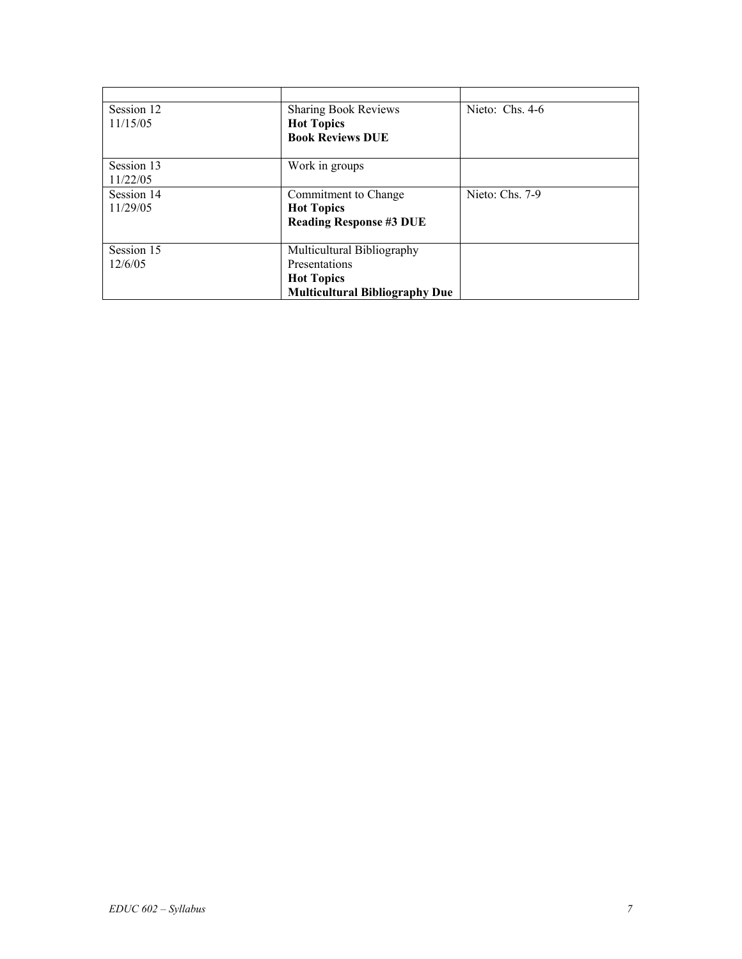| Session 12 | <b>Sharing Book Reviews</b>           | Nieto: Chs. 4-6 |
|------------|---------------------------------------|-----------------|
| 11/15/05   | <b>Hot Topics</b>                     |                 |
|            | <b>Book Reviews DUE</b>               |                 |
|            |                                       |                 |
| Session 13 | Work in groups                        |                 |
| 11/22/05   |                                       |                 |
| Session 14 | Commitment to Change                  | Nieto: Chs. 7-9 |
| 11/29/05   | <b>Hot Topics</b>                     |                 |
|            | <b>Reading Response #3 DUE</b>        |                 |
|            |                                       |                 |
| Session 15 | Multicultural Bibliography            |                 |
| 12/6/05    | Presentations                         |                 |
|            | <b>Hot Topics</b>                     |                 |
|            | <b>Multicultural Bibliography Due</b> |                 |